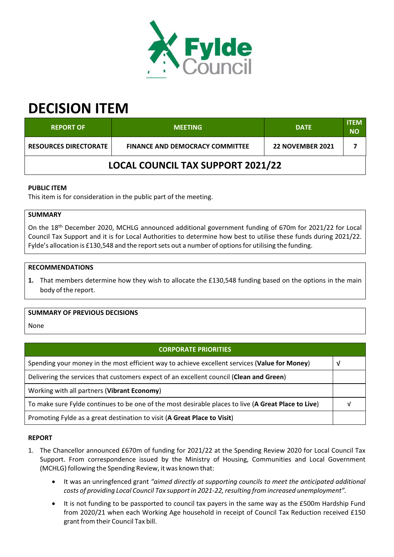

# **DECISION ITEM**

| <b>REPORT OF</b>                                                       | <b>MEETING</b> | <b>DATE</b>             | <b>ITEM</b><br><b>NO</b> |  |
|------------------------------------------------------------------------|----------------|-------------------------|--------------------------|--|
| <b>RESOURCES DIRECTORATE</b><br><b>FINANCE AND DEMOCRACY COMMITTEE</b> |                | <b>22 NOVEMBER 2021</b> |                          |  |
| <b>LOCAL COUNCIL TAX SUPPORT 2021/22</b>                               |                |                         |                          |  |

## **PUBLIC ITEM**

This item is for consideration in the public part of the meeting.

## **SUMMARY**

On the 18<sup>th</sup> December 2020, MCHLG announced additional government funding of 670m for 2021/22 for Local Council Tax Support and it is for Local Authorities to determine how best to utilise these funds during 2021/22. Fylde's allocation is £130,548 and the report sets out a number of options for utilising the funding.

#### **RECOMMENDATIONS**

**1.** That members determine how they wish to allocate the £130,548 funding based on the options in the main body of the report.

## **SUMMARY OF PREVIOUS DECISIONS**

**None** 

## **CORPORATE PRIORITIES**

| Spending your money in the most efficient way to achieve excellent services (Value for Money)       |  |
|-----------------------------------------------------------------------------------------------------|--|
| Delivering the services that customers expect of an excellent council (Clean and Green)             |  |
| Working with all partners (Vibrant Economy)                                                         |  |
| To make sure Fylde continues to be one of the most desirable places to live (A Great Place to Live) |  |
| Promoting Fylde as a great destination to visit (A Great Place to Visit)                            |  |

## **REPORT**

- 1. The Chancellor announced £670m of funding for 2021/22 at the Spending Review 2020 for Local Council Tax Support. From correspondence issued by the Ministry of Housing, Communities and Local Government (MCHLG) following the Spending Review, it was known that:
	- It was an unringfenced grant *"aimed directly at supporting councils to meet the anticipated additional costs of providing Local Council Tax support in 2021‐22, resulting from increased unemployment".*
	- It is not funding to be passported to council tax payers in the same way as the £500m Hardship Fund from 2020/21 when each Working Age household in receipt of Council Tax Reduction received £150 grant from their Council Tax bill.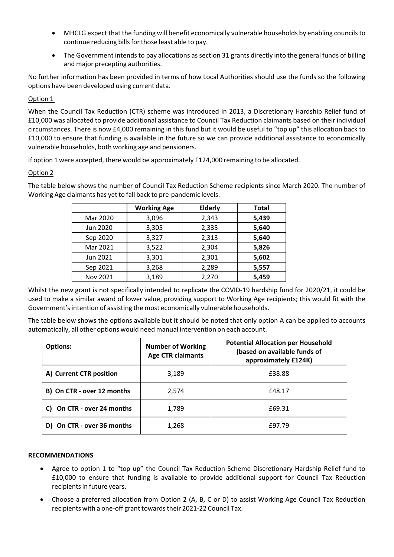- MHCLG expect that the funding will benefit economically vulnerable households by enabling councilsto continue reducing bills for those least able to pay.
- The Government intends to pay allocations as section 31 grants directly into the general funds of billing and major precepting authorities.

No further information has been provided in terms of how Local Authorities should use the funds so the following options have been developed using current data.

## Option 1

When the Council Tax Reduction (CTR) scheme was introduced in 2013, a Discretionary Hardship Relief fund of £10,000 was allocated to provide additional assistance to Council Tax Reduction claimants based on their individual circumstances. There is now £4,000 remaining in this fund but it would be useful to "top up" this allocation back to £10,000 to ensure that funding is available in the future so we can provide additional assistance to economically vulnerable households, both working age and pensioners.

If option 1 were accepted, there would be approximately £124,000 remaining to be allocated.

# Option 2

The table below shows the number of Council Tax Reduction Scheme recipients since March 2020. The number of Working Age claimants has yet to fall back to pre‐pandemic levels.

|          | <b>Working Age</b> | <b>Elderly</b> | <b>Total</b> |
|----------|--------------------|----------------|--------------|
| Mar 2020 | 3,096              | 2,343          | 5,439        |
| Jun 2020 | 3,305              | 2,335          | 5,640        |
| Sep 2020 | 3,327              | 2,313          | 5,640        |
| Mar 2021 | 3,522              | 2,304          | 5,826        |
| Jun 2021 | 3,301              | 2,301          | 5,602        |
| Sep 2021 | 3,268              | 2,289          | 5,557        |
| Nov 2021 | 3,189              | 2,270          | 5,459        |

Whilst the new grant is not specifically intended to replicate the COVID-19 hardship fund for 2020/21, it could be used to make a similar award of lower value, providing support to Working Age recipients; this would fit with the Government's intention of assisting the most economically vulnerable households.

The table below shows the options available but it should be noted that only option A can be applied to accounts automatically, all other options would need manual intervention on each account.

| <b>Options:</b>            | <b>Number of Working</b><br><b>Age CTR claimants</b> | <b>Potential Allocation per Household</b><br>(based on available funds of<br>approximately £124K) |
|----------------------------|------------------------------------------------------|---------------------------------------------------------------------------------------------------|
| A) Current CTR position    | 3,189                                                | £38.88                                                                                            |
| B) On CTR - over 12 months | 2,574                                                | £48.17                                                                                            |
| C) On CTR - over 24 months | 1,789                                                | £69.31                                                                                            |
| D) On CTR - over 36 months | 1,268                                                | £97.79                                                                                            |

#### **RECOMMENDATIONS**

- Agree to option 1 to "top up" the Council Tax Reduction Scheme Discretionary Hardship Relief fund to £10,000 to ensure that funding is available to provide additional support for Council Tax Reduction recipients in future years.
- Choose a preferred allocation from Option 2 (A, B, C or D) to assist Working Age Council Tax Reduction recipients with a one-off grant towards their 2021-22 Council Tax.